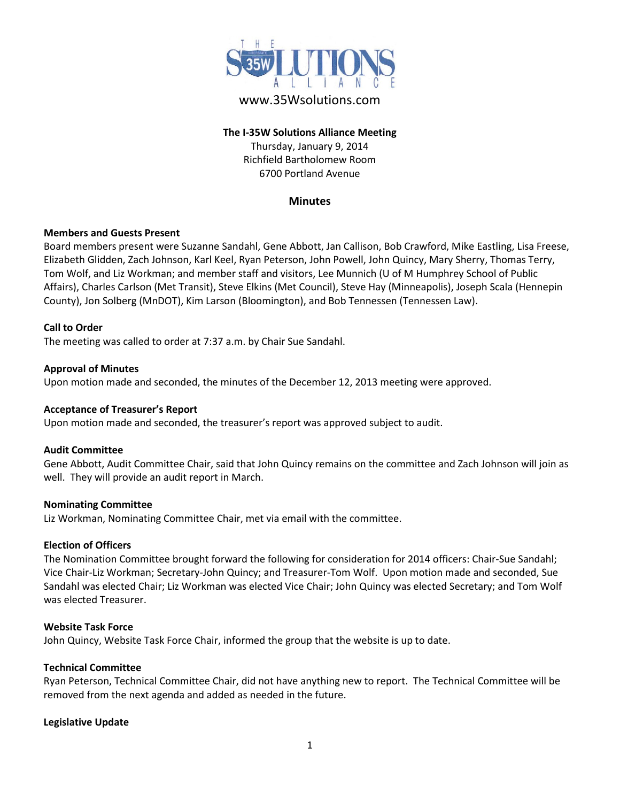

# www.35Wsolutions.com

# **The I-35W Solutions Alliance Meeting** Thursday, January 9, 2014 Richfield Bartholomew Room 6700 Portland Avenue

#### **Minutes**

#### **Members and Guests Present**

Board members present were Suzanne Sandahl, Gene Abbott, Jan Callison, Bob Crawford, Mike Eastling, Lisa Freese, Elizabeth Glidden, Zach Johnson, Karl Keel, Ryan Peterson, John Powell, John Quincy, Mary Sherry, Thomas Terry, Tom Wolf, and Liz Workman; and member staff and visitors, Lee Munnich (U of M Humphrey School of Public Affairs), Charles Carlson (Met Transit), Steve Elkins (Met Council), Steve Hay (Minneapolis), Joseph Scala (Hennepin County), Jon Solberg (MnDOT), Kim Larson (Bloomington), and Bob Tennessen (Tennessen Law).

#### **Call to Order**

The meeting was called to order at 7:37 a.m. by Chair Sue Sandahl.

#### **Approval of Minutes**

Upon motion made and seconded, the minutes of the December 12, 2013 meeting were approved.

#### **Acceptance of Treasurer's Report**

Upon motion made and seconded, the treasurer's report was approved subject to audit.

#### **Audit Committee**

Gene Abbott, Audit Committee Chair, said that John Quincy remains on the committee and Zach Johnson will join as well. They will provide an audit report in March.

#### **Nominating Committee**

Liz Workman, Nominating Committee Chair, met via email with the committee.

#### **Election of Officers**

The Nomination Committee brought forward the following for consideration for 2014 officers: Chair-Sue Sandahl; Vice Chair-Liz Workman; Secretary-John Quincy; and Treasurer-Tom Wolf. Upon motion made and seconded, Sue Sandahl was elected Chair; Liz Workman was elected Vice Chair; John Quincy was elected Secretary; and Tom Wolf was elected Treasurer.

#### **Website Task Force**

John Quincy, Website Task Force Chair, informed the group that the website is up to date.

#### **Technical Committee**

Ryan Peterson, Technical Committee Chair, did not have anything new to report. The Technical Committee will be removed from the next agenda and added as needed in the future.

#### **Legislative Update**